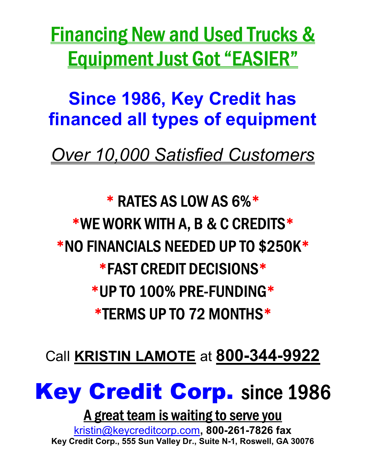**Financing New and Used Trucks &** Equipment Just Got "EASIER"

Since 1986, Key Credit has financed all types of equipment

Over 10,000 Satisfied Customers

\* RATES AS LOW AS 6%\* \*WE WORK WITH A, B & C CREDITS\* \*NO FINANCIALS NEEDED UP TO \$250K\* \*FAST CREDIT DECISIONS\* \*UP TO 100% PRE-FUNDING\* \*TERMS UP TO 72 MONTHS\*

Call KRISTIN LAMOTE at 800-344-9922



### A great team is waiting to serve you

kristin@keycreditcorp.com, 800-261-7826 fax Key Credit Corp., 555 Sun Valley Dr., Suite N-1, Roswell, GA 30076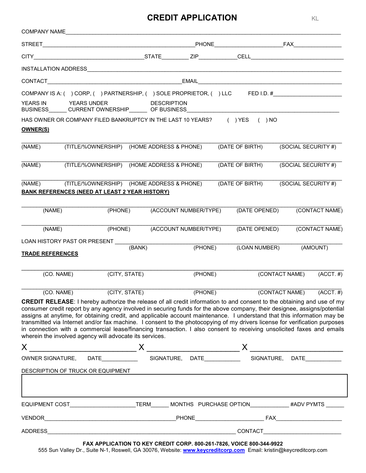#### **CREDIT APPLICATION AND REDIT APPLICATION**

|                         |  | COMPANY NAME AND THE STATE OF THE STATE OF THE STATE OF THE STATE OF THE STATE OF THE STATE OF THE STATE OF THE STATE OF THE STATE OF THE STATE OF THE STATE OF THE STATE OF THE STATE OF THE STATE OF THE STATE OF THE STATE                                                                                                                                                                                                                                                                                                                                                                                                                                                                          |                               |         |                       |                 |                        |  |                              |                     |
|-------------------------|--|--------------------------------------------------------------------------------------------------------------------------------------------------------------------------------------------------------------------------------------------------------------------------------------------------------------------------------------------------------------------------------------------------------------------------------------------------------------------------------------------------------------------------------------------------------------------------------------------------------------------------------------------------------------------------------------------------------|-------------------------------|---------|-----------------------|-----------------|------------------------|--|------------------------------|---------------------|
|                         |  |                                                                                                                                                                                                                                                                                                                                                                                                                                                                                                                                                                                                                                                                                                        |                               |         |                       |                 |                        |  |                              |                     |
|                         |  |                                                                                                                                                                                                                                                                                                                                                                                                                                                                                                                                                                                                                                                                                                        |                               |         |                       |                 |                        |  |                              |                     |
|                         |  |                                                                                                                                                                                                                                                                                                                                                                                                                                                                                                                                                                                                                                                                                                        |                               |         |                       |                 |                        |  |                              |                     |
|                         |  |                                                                                                                                                                                                                                                                                                                                                                                                                                                                                                                                                                                                                                                                                                        |                               |         |                       |                 |                        |  |                              |                     |
|                         |  | COMPANY IS A: ( ) CORP, ( ) PARTNERSHIP, ( ) SOLE PROPRIETOR, ( ) LLC FED I.D. #                                                                                                                                                                                                                                                                                                                                                                                                                                                                                                                                                                                                                       |                               |         |                       |                 |                        |  |                              |                     |
|                         |  | YEARS IN YEARS UNDER DESCRIPTION<br>BUSINESS_______CURRENT OWNERSHIP________ OF BUSINESS____________________________                                                                                                                                                                                                                                                                                                                                                                                                                                                                                                                                                                                   |                               |         |                       |                 |                        |  |                              |                     |
|                         |  | HAS OWNER OR COMPANY FILED BANKRUPTCY IN THE LAST 10 YEARS? () YES () NO                                                                                                                                                                                                                                                                                                                                                                                                                                                                                                                                                                                                                               |                               |         |                       |                 |                        |  |                              |                     |
| <u>OWNER(S)</u>         |  |                                                                                                                                                                                                                                                                                                                                                                                                                                                                                                                                                                                                                                                                                                        |                               |         |                       |                 |                        |  |                              |                     |
| (NAME)                  |  | (TITLE/%OWNERSHIP) (HOME ADDRESS & PHONE)                                                                                                                                                                                                                                                                                                                                                                                                                                                                                                                                                                                                                                                              |                               |         |                       |                 | (DATE OF BIRTH)        |  |                              | (SOCIAL SECURITY #) |
| (NAME)                  |  | (TITLE/%OWNERSHIP) (HOME ADDRESS & PHONE)                                                                                                                                                                                                                                                                                                                                                                                                                                                                                                                                                                                                                                                              |                               |         |                       | (DATE OF BIRTH) |                        |  | (SOCIAL SECURITY #)          |                     |
|                         |  | (NAME) (TITLE/%OWNERSHIP) (HOME ADDRESS & PHONE)<br><b>BANK REFERENCES (NEED AT LEAST 2 YEAR HISTORY)</b>                                                                                                                                                                                                                                                                                                                                                                                                                                                                                                                                                                                              |                               |         |                       |                 | (DATE OF BIRTH)        |  |                              | (SOCIAL SECURITY #) |
| (NAME)                  |  |                                                                                                                                                                                                                                                                                                                                                                                                                                                                                                                                                                                                                                                                                                        | (PHONE)                       |         | (ACCOUNT NUMBER/TYPE) |                 | (DATE OPENED)          |  | (CONTACT NAME)               |                     |
| (NAME)                  |  |                                                                                                                                                                                                                                                                                                                                                                                                                                                                                                                                                                                                                                                                                                        | (PHONE) (ACCOUNT NUMBER/TYPE) |         | (DATE OPENED)         | (CONTACT NAME)  |                        |  |                              |                     |
|                         |  | LOAN HISTORY PAST OR PRESENT ________                                                                                                                                                                                                                                                                                                                                                                                                                                                                                                                                                                                                                                                                  |                               |         |                       |                 |                        |  |                              |                     |
| <b>TRADE REFERENCES</b> |  |                                                                                                                                                                                                                                                                                                                                                                                                                                                                                                                                                                                                                                                                                                        | (BANK)                        |         | (PHONE)               |                 | (LOAN NUMBER) (AMOUNT) |  |                              |                     |
| (CO. NAME)              |  | (CITY, STATE)                                                                                                                                                                                                                                                                                                                                                                                                                                                                                                                                                                                                                                                                                          |                               | (PHONE) |                       |                 |                        |  | $(CONTACT NAME)$ $(ACCT. #)$ |                     |
|                         |  | (CO. NAME) (CITY, STATE) (PHONE) (CONTACT NAME) (ACCT. #)                                                                                                                                                                                                                                                                                                                                                                                                                                                                                                                                                                                                                                              |                               |         |                       |                 |                        |  |                              |                     |
|                         |  | <b>CREDIT RELEASE:</b> I hereby authorize the release of all credit information to and consent to the obtaining and use of my<br>consumer credit report by any agency involved in securing funds for the above company, their designee, assigns/potential<br>assigns at anytime, for obtaining credit, and applicable account maintenance. I understand that this information may be<br>transmitted via Internet and/or fax machine. I consent to the photocopying of my drivers license for verification purposes<br>in connection with a commercial lease/financing transaction. I also consent to receiving unsolicited faxes and emails<br>wherein the involved agency will advocate its services. |                               |         |                       |                 |                        |  |                              |                     |
|                         |  |                                                                                                                                                                                                                                                                                                                                                                                                                                                                                                                                                                                                                                                                                                        |                               |         |                       |                 |                        |  |                              |                     |
|                         |  | DESCRIPTION OF TRUCK OR EQUIPMENT                                                                                                                                                                                                                                                                                                                                                                                                                                                                                                                                                                                                                                                                      |                               |         |                       |                 |                        |  |                              |                     |
|                         |  |                                                                                                                                                                                                                                                                                                                                                                                                                                                                                                                                                                                                                                                                                                        |                               |         |                       |                 |                        |  |                              |                     |
|                         |  | EQUIPMENT COST_______________________TERM_______MONTHS_PURCHASE OPTION____________#ADV PYMTS _____                                                                                                                                                                                                                                                                                                                                                                                                                                                                                                                                                                                                     |                               |         |                       |                 |                        |  |                              |                     |
|                         |  |                                                                                                                                                                                                                                                                                                                                                                                                                                                                                                                                                                                                                                                                                                        |                               |         |                       |                 |                        |  |                              |                     |
|                         |  |                                                                                                                                                                                                                                                                                                                                                                                                                                                                                                                                                                                                                                                                                                        |                               |         |                       |                 |                        |  |                              |                     |

**FAX APPLICATION TO KEY CREDIT CORP. 800-261-7826, VOICE 800-344-9922**  555 Sun Valley Dr., Suite N-1, Roswell, GA 30076, Website: **www.keycreditcorp.com** Email: kristin@keycreditcorp.com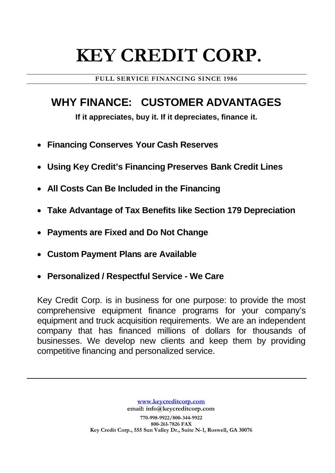## **KEY CREDIT CORP.**

**FULL SERVICE FINANCING SINCE 1986**

### **WHY FINANCE: CUSTOMER ADVANTAGES**

**If it appreciates, buy it. If it depreciates, finance it.**

- **Financing Conserves Your Cash Reserves**
- **Using Key Credit's Financing Preserves Bank Credit Lines**
- **All Costs Can Be Included in the Financing**
- **Take Advantage of Tax Benefits like Section 179 Depreciation**
- **Payments are Fixed and Do Not Change**
- **Custom Payment Plans are Available**
- **Personalized / Respectful Service - We Care**

Key Credit Corp. is in business for one purpose: to provide the most comprehensive equipment finance programs for your company's equipment and truck acquisition requirements. We are an independent company that has financed millions of dollars for thousands of businesses. We develop new clients and keep them by providing competitive financing and personalized service.